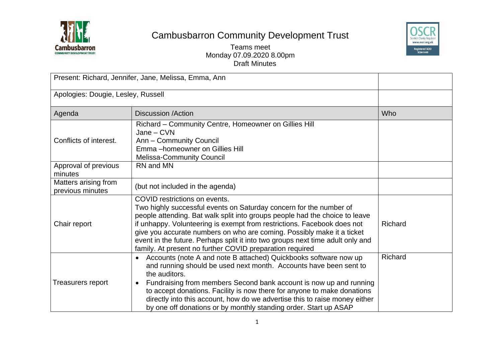

## Cambusbarron Community Development Trust



Teams meet Monday 07.09.2020 8.00pm Draft Minutes

| Present: Richard, Jennifer, Jane, Melissa, Emma, Ann |                                                                                                                                                                                                                                                                                                                                                                                                                                                                                       |            |
|------------------------------------------------------|---------------------------------------------------------------------------------------------------------------------------------------------------------------------------------------------------------------------------------------------------------------------------------------------------------------------------------------------------------------------------------------------------------------------------------------------------------------------------------------|------------|
| Apologies: Dougie, Lesley, Russell                   |                                                                                                                                                                                                                                                                                                                                                                                                                                                                                       |            |
| Agenda                                               | <b>Discussion /Action</b>                                                                                                                                                                                                                                                                                                                                                                                                                                                             | <b>Who</b> |
| Conflicts of interest.                               | Richard - Community Centre, Homeowner on Gillies Hill<br>$Jane - CVN$<br>Ann - Community Council<br>Emma-homeowner on Gillies Hill<br><b>Melissa-Community Council</b>                                                                                                                                                                                                                                                                                                                |            |
| Approval of previous<br>minutes                      | RN and MN                                                                                                                                                                                                                                                                                                                                                                                                                                                                             |            |
| Matters arising from<br>previous minutes             | (but not included in the agenda)                                                                                                                                                                                                                                                                                                                                                                                                                                                      |            |
| Chair report                                         | COVID restrictions on events.<br>Two highly successful events on Saturday concern for the number of<br>people attending. Bat walk split into groups people had the choice to leave<br>if unhappy. Volunteering is exempt from restrictions. Facebook does not<br>give you accurate numbers on who are coming. Possibly make it a ticket<br>event in the future. Perhaps split it into two groups next time adult only and<br>family. At present no further COVID preparation required | Richard    |
| Treasurers report                                    | Accounts (note A and note B attached) Quickbooks software now up<br>$\bullet$<br>and running should be used next month. Accounts have been sent to<br>the auditors.<br>Fundraising from members Second bank account is now up and running<br>to accept donations. Facility is now there for anyone to make donations<br>directly into this account, how do we advertise this to raise money either<br>by one off donations or by monthly standing order. Start up ASAP                | Richard    |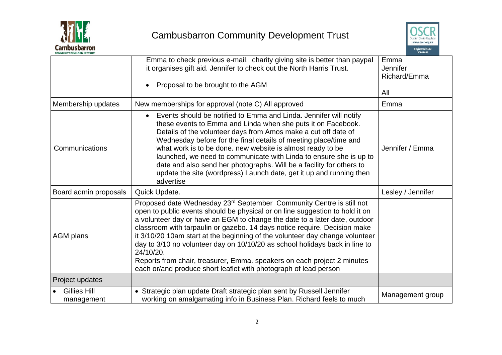



| COMMUNITY DEVELOPMENT TRUST       |                                                                                                                                                                                                                                                                                                                                                                                                                                                                                                                                                                                                                                                        |                                         |
|-----------------------------------|--------------------------------------------------------------------------------------------------------------------------------------------------------------------------------------------------------------------------------------------------------------------------------------------------------------------------------------------------------------------------------------------------------------------------------------------------------------------------------------------------------------------------------------------------------------------------------------------------------------------------------------------------------|-----------------------------------------|
|                                   | Emma to check previous e-mail. charity giving site is better than paypal<br>it organises gift aid. Jennifer to check out the North Harris Trust.<br>Proposal to be brought to the AGM                                                                                                                                                                                                                                                                                                                                                                                                                                                                  | Emma<br>Jennifer<br>Richard/Emma<br>All |
| Membership updates                | New memberships for approval (note C) All approved                                                                                                                                                                                                                                                                                                                                                                                                                                                                                                                                                                                                     | Emma                                    |
| Communications                    | Events should be notified to Emma and Linda. Jennifer will notify<br>$\bullet$<br>these events to Emma and Linda when she puts it on Facebook.<br>Details of the volunteer days from Amos make a cut off date of<br>Wednesday before for the final details of meeting place/time and<br>what work is to be done. new website is almost ready to be<br>launched, we need to communicate with Linda to ensure she is up to<br>date and also send her photographs. Will be a facility for others to<br>update the site (wordpress) Launch date, get it up and running then<br>advertise                                                                   | Jennifer / Emma                         |
| Board admin proposals             | Quick Update.                                                                                                                                                                                                                                                                                                                                                                                                                                                                                                                                                                                                                                          | Lesley / Jennifer                       |
| <b>AGM plans</b>                  | Proposed date Wednesday 23 <sup>rd</sup> September Community Centre is still not<br>open to public events should be physical or on line suggestion to hold it on<br>a volunteer day or have an EGM to change the date to a later date, outdoor<br>classroom with tarpaulin or gazebo. 14 days notice require. Decision make<br>it 3/10/20 10am start at the beginning of the volunteer day change volunteer<br>day to 3/10 no volunteer day on 10/10/20 as school holidays back in line to<br>24/10/20.<br>Reports from chair, treasurer, Emma. speakers on each project 2 minutes<br>each or/and produce short leaflet with photograph of lead person |                                         |
| Project updates                   |                                                                                                                                                                                                                                                                                                                                                                                                                                                                                                                                                                                                                                                        |                                         |
| <b>Gillies Hill</b><br>management | • Strategic plan update Draft strategic plan sent by Russell Jennifer<br>working on amalgamating info in Business Plan. Richard feels to much                                                                                                                                                                                                                                                                                                                                                                                                                                                                                                          | Management group                        |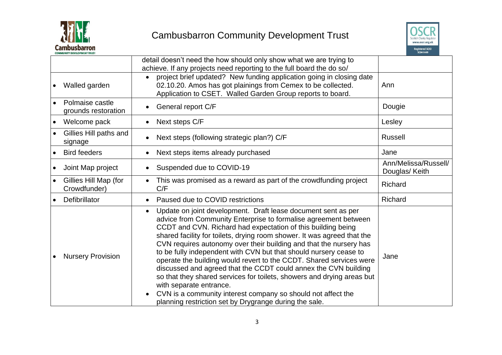



|           | <b>COMMUNITY DEVELOPMENT TRUST</b>     |                                                                                                                                                                                                                                                                                                                                                                                                                                                                                                                                                                                                                                                                                                                                                                                                 | SC041449                               |
|-----------|----------------------------------------|-------------------------------------------------------------------------------------------------------------------------------------------------------------------------------------------------------------------------------------------------------------------------------------------------------------------------------------------------------------------------------------------------------------------------------------------------------------------------------------------------------------------------------------------------------------------------------------------------------------------------------------------------------------------------------------------------------------------------------------------------------------------------------------------------|----------------------------------------|
|           |                                        | detail doesn't need the how should only show what we are trying to<br>achieve. If any projects need reporting to the full board the do so/                                                                                                                                                                                                                                                                                                                                                                                                                                                                                                                                                                                                                                                      |                                        |
|           | Walled garden                          | project brief updated? New funding application going in closing date<br>02.10.20. Amos has got plainings from Cemex to be collected.<br>Application to CSET. Walled Garden Group reports to board.                                                                                                                                                                                                                                                                                                                                                                                                                                                                                                                                                                                              | Ann                                    |
|           | Polmaise castle<br>grounds restoration | General report C/F                                                                                                                                                                                                                                                                                                                                                                                                                                                                                                                                                                                                                                                                                                                                                                              | Dougie                                 |
| $\bullet$ | Welcome pack                           | Next steps C/F                                                                                                                                                                                                                                                                                                                                                                                                                                                                                                                                                                                                                                                                                                                                                                                  | Lesley                                 |
|           | Gillies Hill paths and<br>signage      | Next steps (following strategic plan?) C/F                                                                                                                                                                                                                                                                                                                                                                                                                                                                                                                                                                                                                                                                                                                                                      | <b>Russell</b>                         |
|           | <b>Bird feeders</b>                    | Next steps items already purchased                                                                                                                                                                                                                                                                                                                                                                                                                                                                                                                                                                                                                                                                                                                                                              | Jane                                   |
| $\bullet$ | Joint Map project                      | Suspended due to COVID-19                                                                                                                                                                                                                                                                                                                                                                                                                                                                                                                                                                                                                                                                                                                                                                       | Ann/Melissa/Russell/<br>Douglas/ Keith |
| $\bullet$ | Gillies Hill Map (for<br>Crowdfunder)  | This was promised as a reward as part of the crowdfunding project<br>C/F                                                                                                                                                                                                                                                                                                                                                                                                                                                                                                                                                                                                                                                                                                                        | Richard                                |
|           | Defibrillator                          | Paused due to COVID restrictions                                                                                                                                                                                                                                                                                                                                                                                                                                                                                                                                                                                                                                                                                                                                                                | Richard                                |
|           | <b>Nursery Provision</b>               | Update on joint development. Draft lease document sent as per<br>advice from Community Enterprise to formalise agreement between<br>CCDT and CVN. Richard had expectation of this building being<br>shared facility for toilets, drying room shower. It was agreed that the<br>CVN requires autonomy over their building and that the nursery has<br>to be fully independent with CVN but that should nursery cease to<br>operate the building would revert to the CCDT. Shared services were<br>discussed and agreed that the CCDT could annex the CVN building<br>so that they shared services for toilets, showers and drying areas but<br>with separate entrance.<br>CVN is a community interest company so should not affect the<br>planning restriction set by Drygrange during the sale. | Jane                                   |